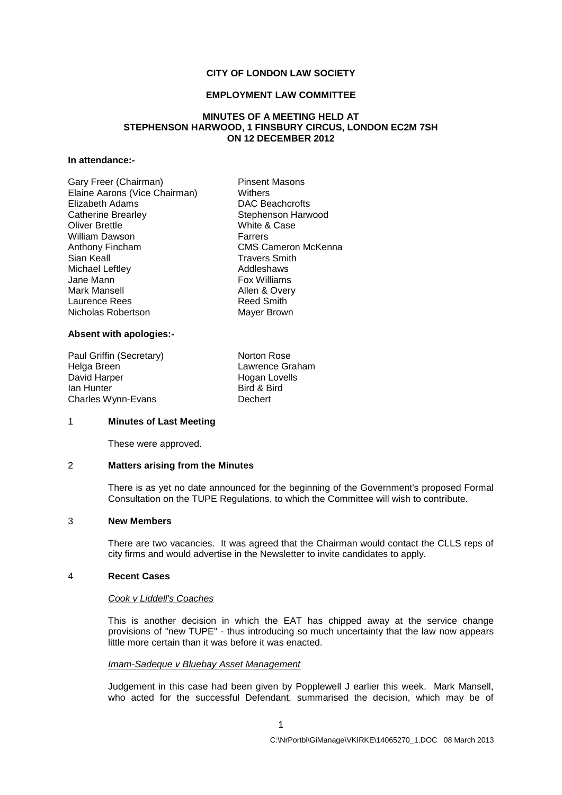# **CITY OF LONDON LAW SOCIETY**

### **EMPLOYMENT LAW COMMITTEE**

## **MINUTES OF A MEETING HELD AT STEPHENSON HARWOOD, 1 FINSBURY CIRCUS, LONDON EC2M 7SH ON 12 DECEMBER 2012**

# **In attendance:-**

| Gary Freer (Chairman)         | <b>Pinsent Masons</b>      |
|-------------------------------|----------------------------|
| Elaine Aarons (Vice Chairman) | Withers                    |
| Elizabeth Adams               | DAC Beachcrofts            |
| <b>Catherine Brearley</b>     | Stephenson Harwood         |
| <b>Oliver Brettle</b>         | White & Case               |
| William Dawson                | Farrers                    |
| Anthony Fincham               | <b>CMS Cameron McKenna</b> |
| Sian Keall                    | <b>Travers Smith</b>       |
| Michael Leftley               | Addleshaws                 |
| Jane Mann                     | <b>Fox Williams</b>        |
| Mark Mansell                  | Allen & Overy              |
| Laurence Rees                 | <b>Reed Smith</b>          |
| Nicholas Robertson            | Mayer Brown                |
|                               |                            |

### **Absent with apologies:-**

Paul Griffin (Secretary) Norton Rose Helga Breen **Lawrence Graham**<br>
David Harper **Lawrence Graham**<br>
Hogan Lovells David Harper **Hogan Lovells**<br> **Example 18** Hogan Lovells<br>
Bird & Bird Charles Wynn-Evans **Dechert** 

Bird & Bird

### 1 **Minutes of Last Meeting**

These were approved.

## 2 **Matters arising from the Minutes**

There is as yet no date announced for the beginning of the Government's proposed Formal Consultation on the TUPE Regulations, to which the Committee will wish to contribute.

## 3 **New Members**

There are two vacancies. It was agreed that the Chairman would contact the CLLS reps of city firms and would advertise in the Newsletter to invite candidates to apply.

## 4 **Recent Cases**

#### *Cook v Liddell's Coaches*

This is another decision in which the EAT has chipped away at the service change provisions of "new TUPE" - thus introducing so much uncertainty that the law now appears little more certain than it was before it was enacted.

# *Imam-Sadeque v Bluebay Asset Management*

Judgement in this case had been given by Popplewell J earlier this week. Mark Mansell, who acted for the successful Defendant, summarised the decision, which may be of